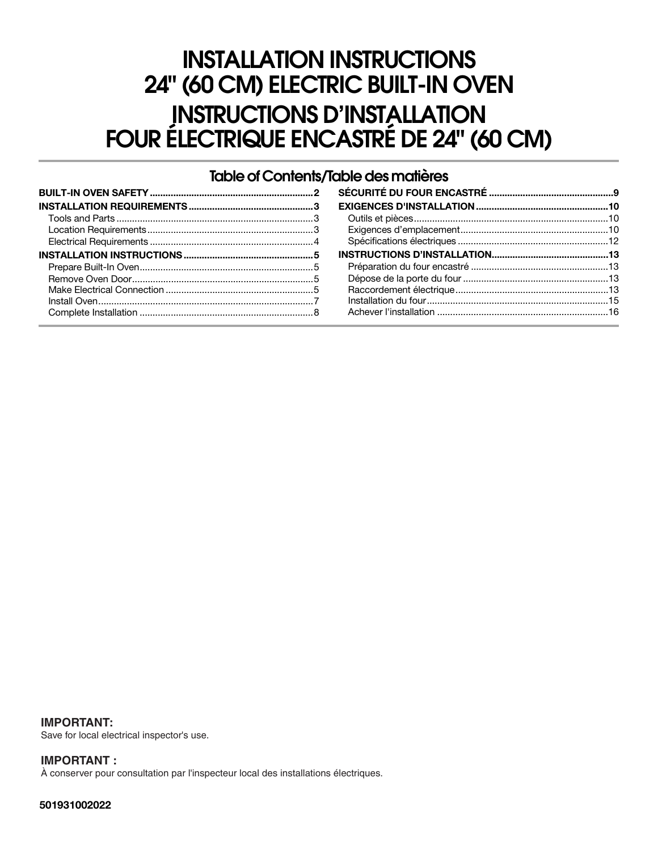# **INSTALLATION INSTRUCTIONS 24" (60 CM) ELECTRIC BUILT-IN OVEN INSTRUCTIONS D'INSTALLATION FOUR ÉLECTRIQUE ENCASTRÉ DE 24" (60 CM)**

## **Table of Contents/Table des matières**

**IMPORTANT:** Save for local electrical inspector's use.

**IMPORTANT :** À conserver pour consultation par l'inspecteur local des installations électriques.

**501931002022**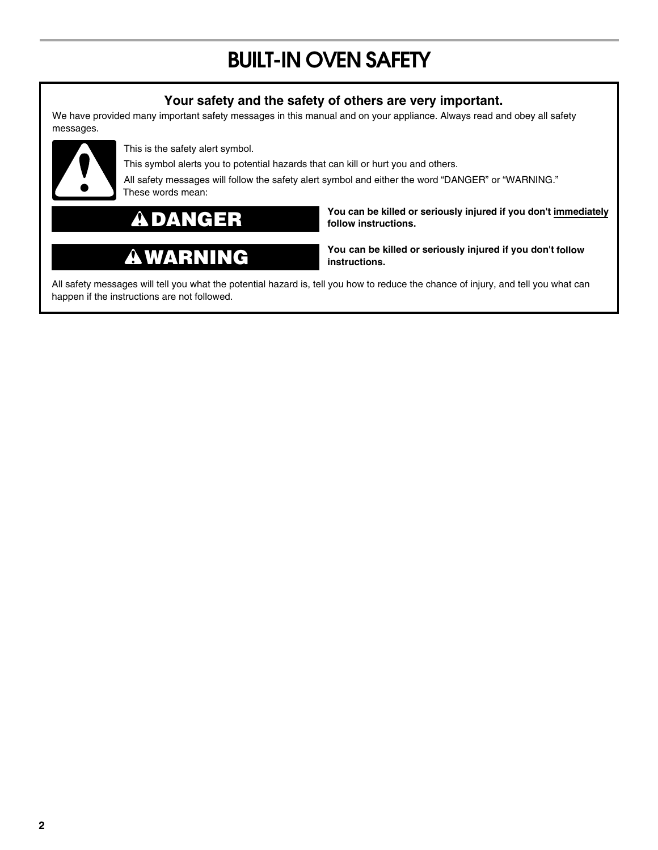# **BUILT-IN OVEN SAFETY**

# **Your safety and the safety of others are very important.**

We have provided many important safety messages in this manual and on your appliance. Always read and obey all safety messages.



This is the safety alert symbol.

This symbol alerts you to potential hazards that can kill or hurt you and others.

All safety messages will follow the safety alert symbol and either the word "DANGER" or "WARNING." These words mean:

## $\boldsymbol{\Lambda}$ **DANGER**

# **WARNING**

**You can be killed or seriously injured if you don't immediately follow instructions.**

**You can be killed or seriously injured if you don't follow instructions.**

All safety messages will tell you what the potential hazard is, tell you how to reduce the chance of injury, and tell you what can happen if the instructions are not followed.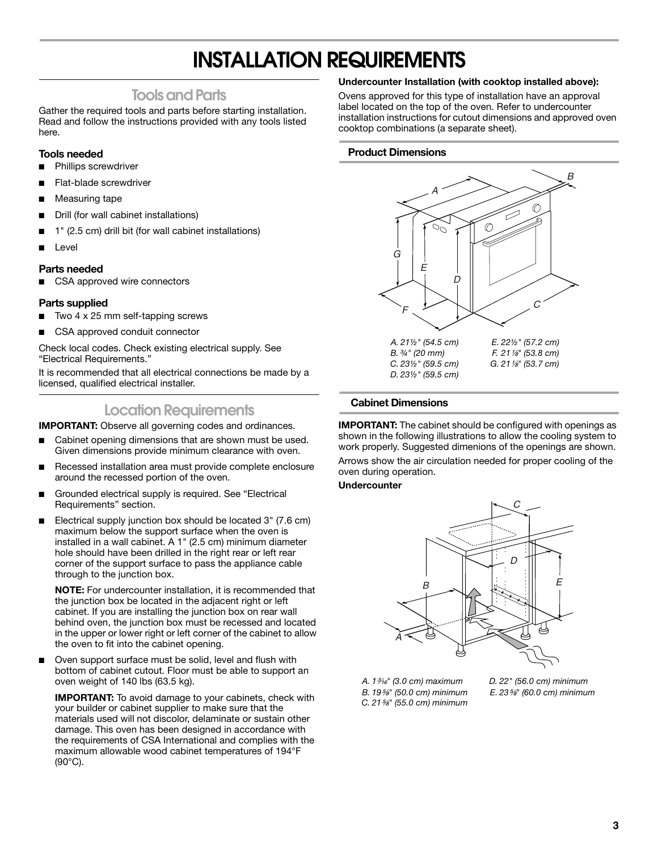# **INSTALLATION REQUIREMENTS**

## **Tools and Parts**

Gather the required tools and parts before starting installation. Read and follow the instructions provided with any tools listed here.

## **Tools needed**

- Phillips screwdriver
- Flat-blade screwdriver
- Measuring tape
- Drill (for wall cabinet installations)
- 1" (2.5 cm) drill bit (for wall cabinet installations)
- **Level**

### **Parts needed**

■ CSA approved wire connectors

### **Parts supplied**

- Two  $4 \times 25$  mm self-tapping screws
- CSA approved conduit connector

Check local codes. Check existing electrical supply. See "Electrical Requirements."

It is recommended that all electrical connections be made by a licensed, qualified electrical installer.

# **Location Requirements**

**IMPORTANT:** Observe all governing codes and ordinances.

- Cabinet opening dimensions that are shown must be used. Given dimensions provide minimum clearance with oven.
- Recessed installation area must provide complete enclosure around the recessed portion of the oven.
- Grounded electrical supply is required. See "Electrical Requirements" section.
- Electrical supply junction box should be located 3" (7.6 cm) maximum below the support surface when the oven is installed in a wall cabinet. A 1" (2.5 cm) minimum diameter hole should have been drilled in the right rear or left rear corner of the support surface to pass the appliance cable through to the junction box.

**NOTE:** For undercounter installation, it is recommended that the junction box be located in the adjacent right or left cabinet. If you are installing the junction box on rear wall behind oven, the junction box must be recessed and located in the upper or lower right or left corner of the cabinet to allow the oven to fit into the cabinet opening.

Oven support surface must be solid, level and flush with bottom of cabinet cutout. Floor must be able to support an oven weight of 140 lbs (63.5 kg).

**IMPORTANT:** To avoid damage to your cabinets, check with your builder or cabinet supplier to make sure that the materials used will not discolor, delaminate or sustain other damage. This oven has been designed in accordance with the requirements of CSA International and complies with the maximum allowable wood cabinet temperatures of 194°F (90°C).

### **Undercounter Installation (with cooktop installed above):**

Ovens approved for this type of installation have an approval label located on the top of the oven. Refer to undercounter installation instructions for cutout dimensions and approved oven cooktop combinations (a separate sheet).

### **Product Dimensions**



### **Cabinet Dimensions**

**IMPORTANT:** The cabinet should be configured with openings as shown in the following illustrations to allow the cooling system to work properly. Suggested dimenions of the openings are shown.

Arrows show the air circulation needed for proper cooling of the oven during operation.

### **Undercounter**



- *A. 1*³⁄₁₆*" (3.0 cm) maximum B. 19*⁵⁄₈*" (50.0 cm) minimum C. 21*⁵⁄₈*" (55.0 cm) minimum*
- *D. 22" (56.0 cm) minimum E. 23*⁵⁄₈*" (60.0 cm) minimum*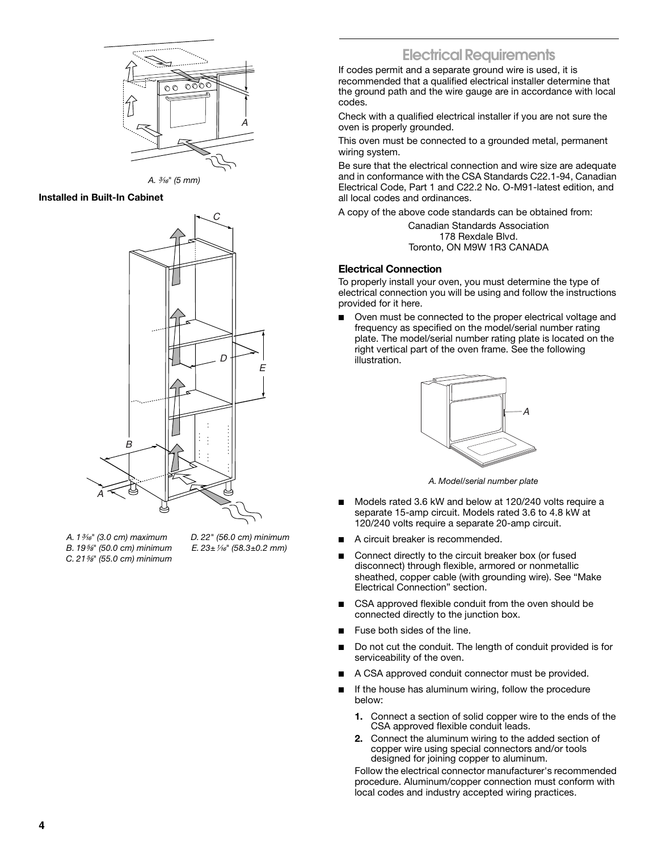

*A.* ³⁄₁₆*" (5 mm)*

### **Installed in Built-In Cabinet**



*A. 1*³⁄₁₆*" (3.0 cm) maximum B. 19*⁵⁄₈*" (50.0 cm) minimum C. 21*⁵⁄₈*" (55.0 cm) minimum*

*D. 22" (56.0 cm) minimum E. 23±*¹⁄₁₆*" (58.3±0.2 mm)*

# **Electrical Requirements**

If codes permit and a separate ground wire is used, it is recommended that a qualified electrical installer determine that the ground path and the wire gauge are in accordance with local codes.

Check with a qualified electrical installer if you are not sure the oven is properly grounded.

This oven must be connected to a grounded metal, permanent wiring system.

Be sure that the electrical connection and wire size are adequate and in conformance with the CSA Standards C22.1-94, Canadian Electrical Code, Part 1 and C22.2 No. O-M91-latest edition, and all local codes and ordinances.

A copy of the above code standards can be obtained from:

Canadian Standards Association 178 Rexdale Blvd. Toronto, ON M9W 1R3 CANADA

### **Electrical Connection**

To properly install your oven, you must determine the type of electrical connection you will be using and follow the instructions provided for it here.

Oven must be connected to the proper electrical voltage and frequency as specified on the model/serial number rating plate. The model/serial number rating plate is located on the right vertical part of the oven frame. See the following illustration.



*A. Model/serial number plate*

- Models rated 3.6 kW and below at 120/240 volts require a separate 15-amp circuit. Models rated 3.6 to 4.8 kW at 120/240 volts require a separate 20-amp circuit.
- A circuit breaker is recommended.
- Connect directly to the circuit breaker box (or fused disconnect) through flexible, armored or nonmetallic sheathed, copper cable (with grounding wire). See "Make Electrical Connection" section.
- CSA approved flexible conduit from the oven should be connected directly to the junction box.
- Fuse both sides of the line.
- Do not cut the conduit. The length of conduit provided is for serviceability of the oven.
- A CSA approved conduit connector must be provided.
- If the house has aluminum wiring, follow the procedure below:
	- **1.** Connect a section of solid copper wire to the ends of the CSA approved flexible conduit leads.
	- **2.** Connect the aluminum wiring to the added section of copper wire using special connectors and/or tools designed for joining copper to aluminum.

Follow the electrical connector manufacturer's recommended procedure. Aluminum/copper connection must conform with local codes and industry accepted wiring practices.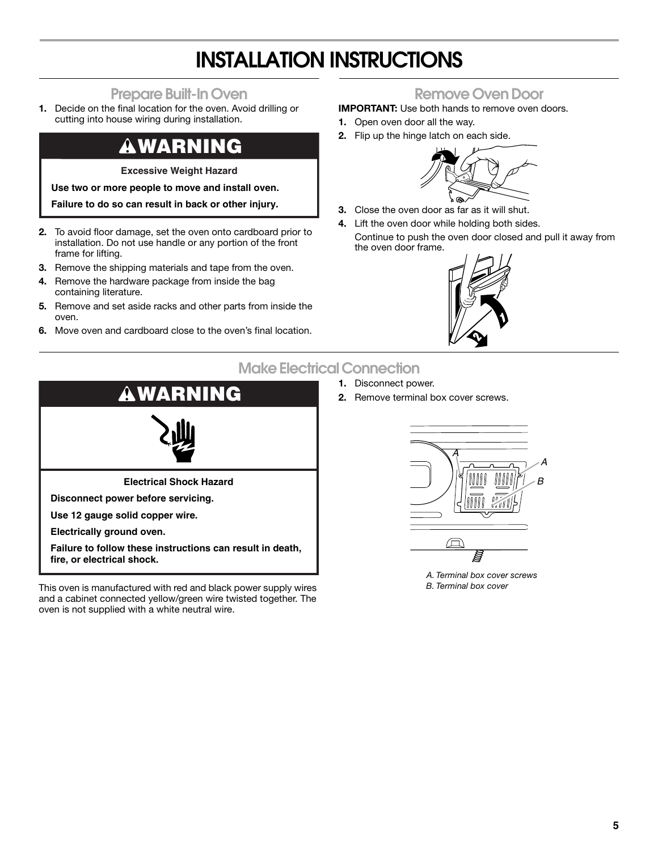# **INSTALLATION INSTRUCTIONS**

# **Prepare Built-In Oven**

**1.** Decide on the final location for the oven. Avoid drilling or cutting into house wiring during installation.

# **WARNING**

**Excessive Weight Hazard**

**Use two or more people to move and install oven.**

**Failure to do so can result in back or other injury.**

- **2.** To avoid floor damage, set the oven onto cardboard prior to installation. Do not use handle or any portion of the front frame for lifting.
- **3.** Remove the shipping materials and tape from the oven.
- **4.** Remove the hardware package from inside the bag containing literature.
- **5.** Remove and set aside racks and other parts from inside the oven.
- **6.** Move oven and cardboard close to the oven's final location.

# **Remove Oven Door**

**IMPORTANT:** Use both hands to remove oven doors.

- **1.** Open oven door all the way.
- **2.** Flip up the hinge latch on each side.



- **3.** Close the oven door as far as it will shut.
- **4.** Lift the oven door while holding both sides. Continue to push the oven door closed and pull it away from the oven door frame.



# **Make Electrical Connection**

- **1.** Disconnect power.
- **2.** Remove terminal box cover screws.



This oven is manufactured with red and black power supply wires and a cabinet connected yellow/green wire twisted together. The oven is not supplied with a white neutral wire.



*A. Terminal box cover screws B. Terminal box cover*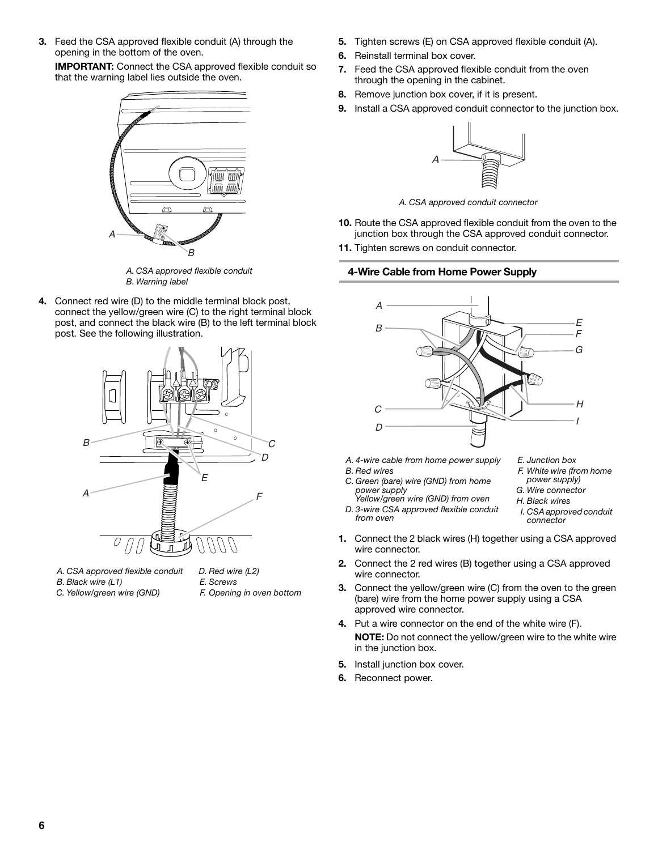**3.** Feed the CSA approved flexible conduit (A) through the opening in the bottom of the oven.

**IMPORTANT:** Connect the CSA approved flexible conduit so that the warning label lies outside the oven.



*A. CSA approved flexible conduit B. Warning label*

**4.** Connect red wire (D) to the middle terminal block post, connect the yellow/green wire (C) to the right terminal block post, and connect the black wire (B) to the left terminal block post. See the following illustration.



- *A. CSA approved flexible conduit B. Black wire (L1)*
- *C. Yellow/green wire (GND)*
- *D. Red wire (L2) E. Screws F. Opening in oven bottom*
- **5.** Tighten screws (E) on CSA approved flexible conduit (A).
- **6.** Reinstall terminal box cover.
- **7.** Feed the CSA approved flexible conduit from the oven through the opening in the cabinet.
- **8.** Remove junction box cover, if it is present.
- **9.** Install a CSA approved conduit connector to the junction box.



*A. CSA approved conduit connector*

- **10.** Route the CSA approved flexible conduit from the oven to the junction box through the CSA approved conduit connector.
- **11.** Tighten screws on conduit connector.

## **4-Wire Cable from Home Power Supply**



- *A. 4-wire cable from home power supply*
- *B. Red wires*
- *C. Green (bare) wire (GND) from home power supply*
- *Yellow/green wire (GND) from oven D. 3-wire CSA approved flexible conduit from oven*
- *E. Junction box*
- *F. White wire (from home power supply)*
- *G. Wire connector*
- *H. Black wires*
	- *I. CSA approved conduit connector*
- **1.** Connect the 2 black wires (H) together using a CSA approved wire connector.
- **2.** Connect the 2 red wires (B) together using a CSA approved wire connector.
- **3.** Connect the yellow/green wire (C) from the oven to the green (bare) wire from the home power supply using a CSA approved wire connector.
- **4.** Put a wire connector on the end of the white wire (F). **NOTE:** Do not connect the yellow/green wire to the white wire in the junction box.
- **5.** Install junction box cover.
- **6.** Reconnect power.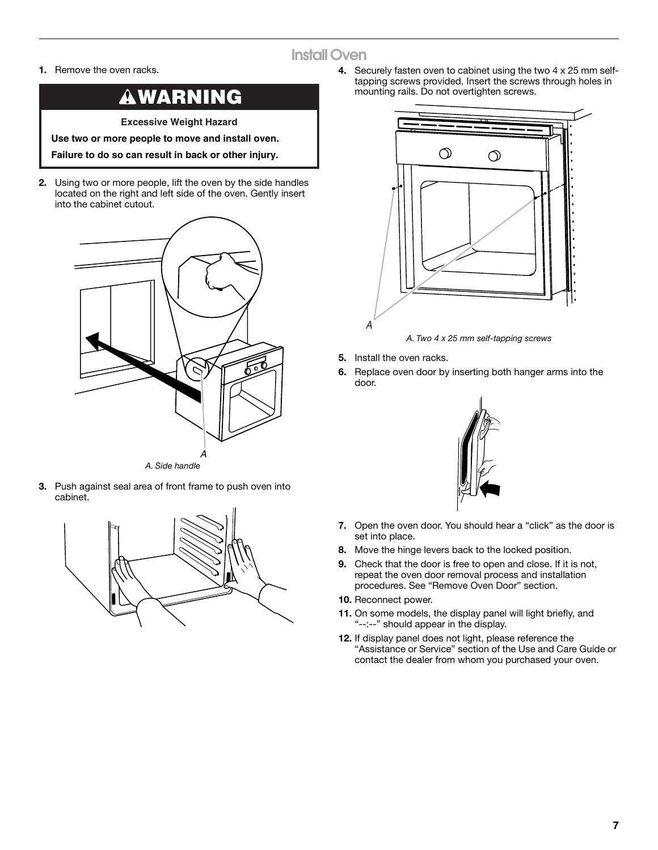# **Install Oven**

**1.** Remove the oven racks.

# **WARNING**

**Excessive Weight Hazard**

**Use two or more people to move and install oven.**

**Failure to do so can result in back or other injury.**

**2.** Using two or more people, lift the oven by the side handles located on the right and left side of the oven. Gently insert into the cabinet cutout.



**3.** Push against seal area of front frame to push oven into cabinet.



**4.** Securely fasten oven to cabinet using the two 4 x 25 mm selftapping screws provided. Insert the screws through holes in mounting rails. Do not overtighten screws.



- **5.** Install the oven racks.
- **6.** Replace oven door by inserting both hanger arms into the door.



- **7.** Open the oven door. You should hear a "click" as the door is set into place.
- **8.** Move the hinge levers back to the locked position.
- **9.** Check that the door is free to open and close. If it is not, repeat the oven door removal process and installation procedures. See "Remove Oven Door" section.
- **10.** Reconnect power.
- **11.** On some models, the display panel will light briefly, and "--:--" should appear in the display.
- **12.** If display panel does not light, please reference the "Assistance or Service" section of the Use and Care Guide or contact the dealer from whom you purchased your oven.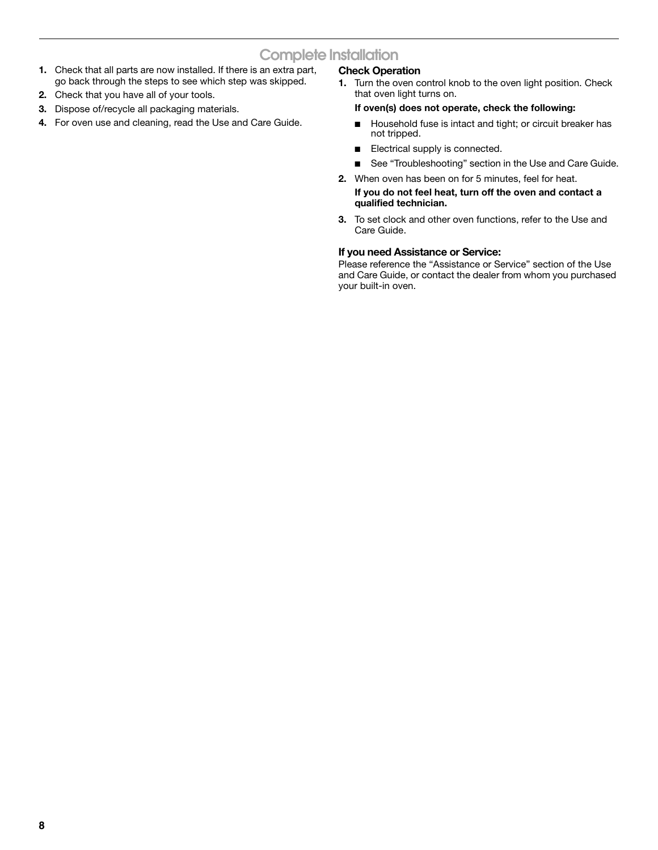# **Complete Installation**

- **1.** Check that all parts are now installed. If there is an extra part, go back through the steps to see which step was skipped.
- **2.** Check that you have all of your tools.
- **3.** Dispose of/recycle all packaging materials.
- **4.** For oven use and cleaning, read the Use and Care Guide.

## **Check Operation**

**1.** Turn the oven control knob to the oven light position. Check that oven light turns on.

### **If oven(s) does not operate, check the following:**

- Household fuse is intact and tight; or circuit breaker has not tripped.
- Electrical supply is connected.
- See "Troubleshooting" section in the Use and Care Guide.
- **2.** When oven has been on for 5 minutes, feel for heat.

### **If you do not feel heat, turn off the oven and contact a qualified technician.**

**3.** To set clock and other oven functions, refer to the Use and Care Guide.

### **If you need Assistance or Service:**

Please reference the "Assistance or Service" section of the Use and Care Guide, or contact the dealer from whom you purchased your built-in oven.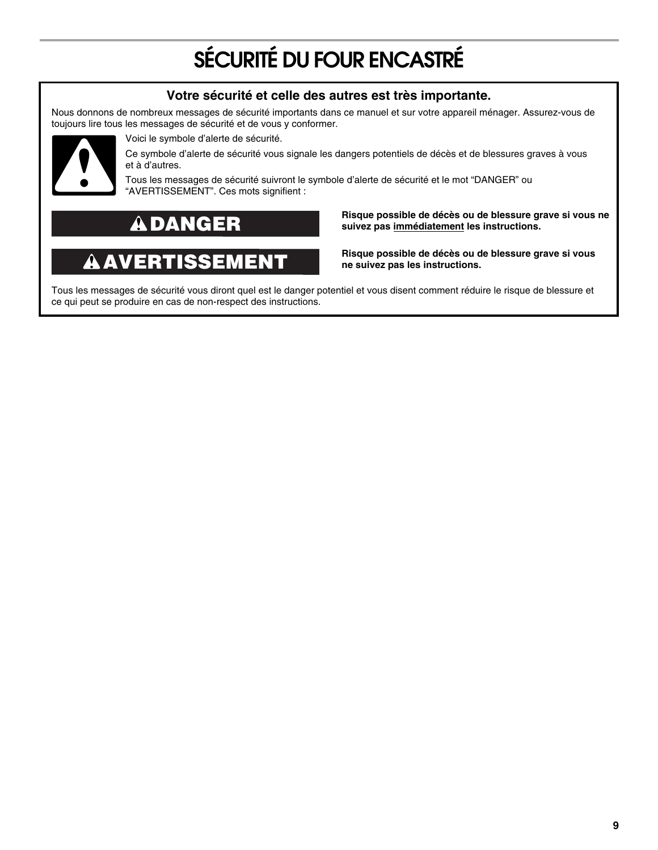# **SÉCURITÉ DU FOUR ENCASTRÉ**

# **Votre sécurité et celle des autres est très importante.**

Nous donnons de nombreux messages de sécurité importants dans ce manuel et sur votre appareil ménager. Assurez-vous de toujours lire tous les messages de sécurité et de vous y conformer.



Voici le symbole d'alerte de sécurité.

Ce symbole d'alerte de sécurité vous signale les dangers potentiels de décès et de blessures graves à vous et à d'autres.

Tous les messages de sécurité suivront le symbole d'alerte de sécurité et le mot "DANGER" ou "AVERTISSEMENT". Ces mots signifient :

# **DANGER**

### $\blacktriangle$ **AVERTISSEMENT**

**Risque possible de décès ou de blessure grave si vous ne suivez pas immédiatement les instructions.** 

**Risque possible de décès ou de blessure grave si vous ne suivez pas les instructions.** 

Tous les messages de sécurité vous diront quel est le danger potentiel et vous disent comment réduire le risque de blessure et ce qui peut se produire en cas de non-respect des instructions.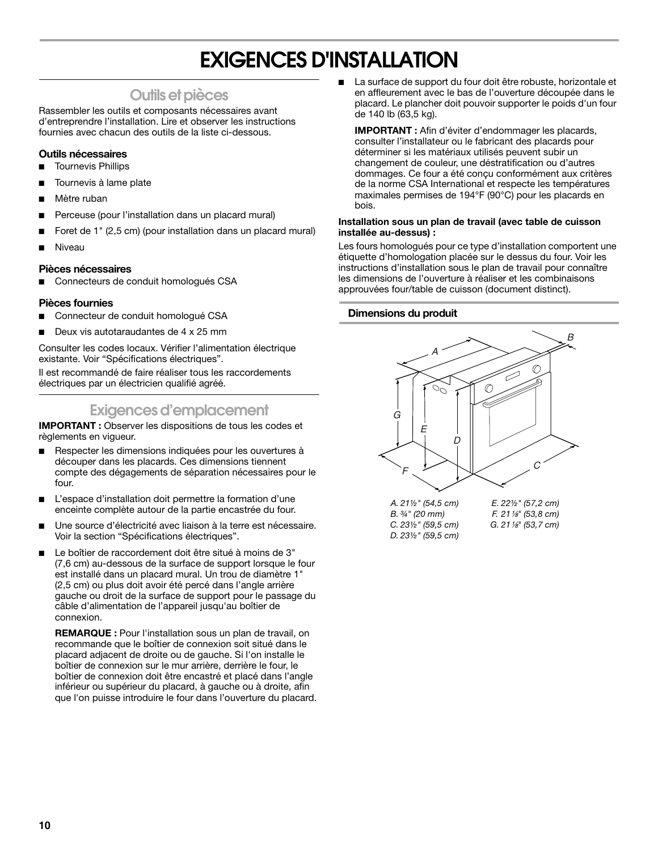# **EXIGENCES D'INSTALLATION**

# **Outils et pièces**

Rassembler les outils et composants nécessaires avant d'entreprendre l'installation. Lire et observer les instructions fournies avec chacun des outils de la liste ci-dessous.

## **Outils nécessaires**

- Tournevis Phillips
- Tournevis à lame plate
- Mètre ruban
- Perceuse (pour l'installation dans un placard mural)
- Foret de 1" (2,5 cm) (pour installation dans un placard mural)
- **Niveau**

## **Pièces nécessaires**

Connecteurs de conduit homologués CSA

## **Pièces fournies**

- Connecteur de conduit homologué CSA
- Deux vis autotaraudantes de 4 x 25 mm

Consulter les codes locaux. Vérifier l'alimentation électrique existante. Voir "Spécifications électriques".

Il est recommandé de faire réaliser tous les raccordements électriques par un électricien qualifié agréé.

# **Exigences d'emplacement**

**IMPORTANT :** Observer les dispositions de tous les codes et règlements en vigueur.

- Respecter les dimensions indiquées pour les ouvertures à découper dans les placards. Ces dimensions tiennent compte des dégagements de séparation nécessaires pour le four.
- L'espace d'installation doit permettre la formation d'une enceinte complète autour de la partie encastrée du four.
- Une source d'électricité avec liaison à la terre est nécessaire. Voir la section "Spécifications électriques".
- Le boîtier de raccordement doit être situé à moins de 3" (7,6 cm) au-dessous de la surface de support lorsque le four est installé dans un placard mural. Un trou de diamètre 1" (2,5 cm) ou plus doit avoir été percé dans l'angle arrière gauche ou droit de la surface de support pour le passage du câble d'alimentation de l'appareil jusqu'au boîtier de connexion.

**REMARQUE :** Pour l'installation sous un plan de travail, on recommande que le boîtier de connexion soit situé dans le placard adjacent de droite ou de gauche. Si l'on installe le boîtier de connexion sur le mur arrière, derrière le four, le boîtier de connexion doit être encastré et placé dans l'angle inférieur ou supérieur du placard, à gauche ou à droite, afin que l'on puisse introduire le four dans l'ouverture du placard. La surface de support du four doit être robuste, horizontale et en affleurement avec le bas de l'ouverture découpée dans le placard. Le plancher doit pouvoir supporter le poids d'un four de 140 lb (63,5 kg).

**IMPORTANT :** Afin d'éviter d'endommager les placards, consulter l'installateur ou le fabricant des placards pour déterminer si les matériaux utilisés peuvent subir un changement de couleur, une déstratification ou d'autres dommages. Ce four a été conçu conformément aux critères de la norme CSA International et respecte les températures maximales permises de 194°F (90°C) pour les placards en bois.

### **Installation sous un plan de travail (avec table de cuisson installée au-dessus) :**

Les fours homologués pour ce type d'installation comportent une étiquette d'homologation placée sur le dessus du four. Voir les instructions d'installation sous le plan de travail pour connaître les dimensions de l'ouverture à réaliser et les combinaisons approuvées four/table de cuisson (document distinct).

## **Dimensions du produit**

*D. 23½" (59,5 cm)*

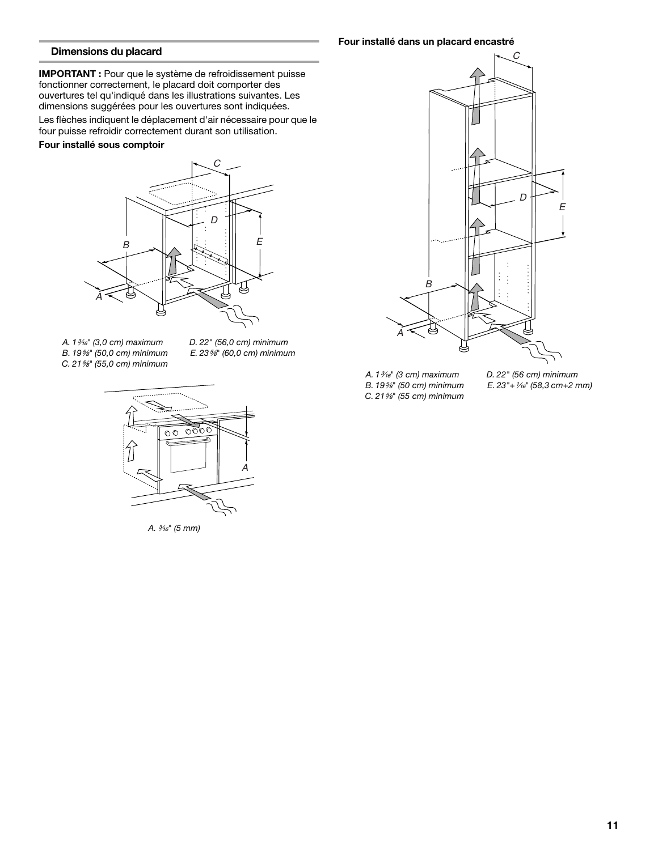### **Dimensions du placard**

**IMPORTANT :** Pour que le système de refroidissement puisse fonctionner correctement, le placard doit comporter des ouvertures tel qu'indiqué dans les illustrations suivantes. Les dimensions suggérées pour les ouvertures sont indiquées.

Les flèches indiquent le déplacement d'air nécessaire pour que le four puisse refroidir correctement durant son utilisation.

#### **Four installé sous comptoir**



- *A. 1*³⁄₁₆*" (3,0 cm) maximum B. 19*⁵⁄₈*" (50,0 cm) minimum C. 21*⁵⁄₈*" (55,0 cm) minimum*
- *D. 22" (56,0 cm) minimum E. 23*⁵⁄₈*" (60,0 cm) minimum*



*A.* ³⁄₁₆*" (5 mm)*

**Four installé dans un placard encastré**



- *A. 1*³⁄₁₆*" (3 cm) maximum*
- *B. 19*⁵⁄₈*" (50 cm) minimum C. 21*⁵⁄₈*" (55 cm) minimum*
- *D. 22" (56 cm) minimum E.* 23"+ 1/<sub>16</sub>" (58,3 cm+2 mm)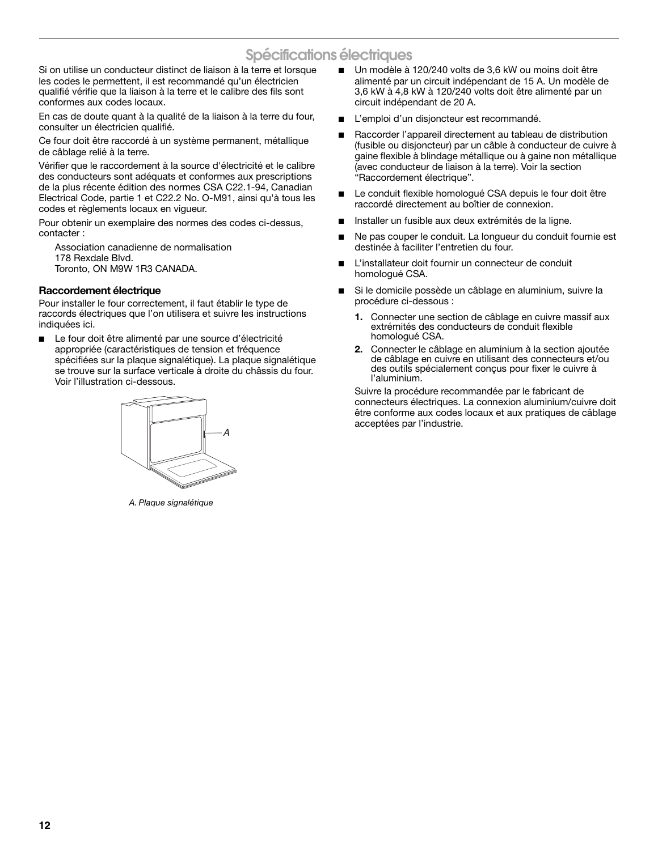# **Spécifications électriques**

Si on utilise un conducteur distinct de liaison à la terre et lorsque les codes le permettent, il est recommandé qu'un électricien qualifié vérifie que la liaison à la terre et le calibre des fils sont conformes aux codes locaux.

En cas de doute quant à la qualité de la liaison à la terre du four, consulter un électricien qualifié.

Ce four doit être raccordé à un système permanent, métallique de câblage relié à la terre.

Vérifier que le raccordement à la source d'électricité et le calibre des conducteurs sont adéquats et conformes aux prescriptions de la plus récente édition des normes CSA C22.1-94, Canadian Electrical Code, partie 1 et C22.2 No. O-M91, ainsi qu'à tous les codes et règlements locaux en vigueur.

Pour obtenir un exemplaire des normes des codes ci-dessus, contacter :

Association canadienne de normalisation 178 Rexdale Blvd. Toronto, ON M9W 1R3 CANADA.

## **Raccordement électrique**

Pour installer le four correctement, il faut établir le type de raccords électriques que l'on utilisera et suivre les instructions indiquées ici.

Le four doit être alimenté par une source d'électricité appropriée (caractéristiques de tension et fréquence spécifiées sur la plaque signalétique). La plaque signalétique se trouve sur la surface verticale à droite du châssis du four. Voir l'illustration ci-dessous.



*A. Plaque signalétique*

- Un modèle à 120/240 volts de 3,6 kW ou moins doit être alimenté par un circuit indépendant de 15 A. Un modèle de 3,6 kW à 4,8 kW à 120/240 volts doit être alimenté par un circuit indépendant de 20 A.
- L'emploi d'un disjoncteur est recommandé.
- Raccorder l'appareil directement au tableau de distribution (fusible ou disjoncteur) par un câble à conducteur de cuivre à gaine flexible à blindage métallique ou à gaine non métallique (avec conducteur de liaison à la terre). Voir la section "Raccordement électrique".
- Le conduit flexible homologué CSA depuis le four doit être raccordé directement au boîtier de connexion.
- Installer un fusible aux deux extrémités de la ligne.
- Ne pas couper le conduit. La longueur du conduit fournie est destinée à faciliter l'entretien du four.
- L'installateur doit fournir un connecteur de conduit homologué CSA.
- Si le domicile possède un câblage en aluminium, suivre la procédure ci-dessous :
	- **1.** Connecter une section de câblage en cuivre massif aux extrémités des conducteurs de conduit flexible homologué CSA.
	- **2.** Connecter le câblage en aluminium à la section ajoutée de câblage en cuivre en utilisant des connecteurs et/ou des outils spécialement conçus pour fixer le cuivre à l'aluminium.

Suivre la procédure recommandée par le fabricant de connecteurs électriques. La connexion aluminium/cuivre doit être conforme aux codes locaux et aux pratiques de câblage acceptées par l'industrie.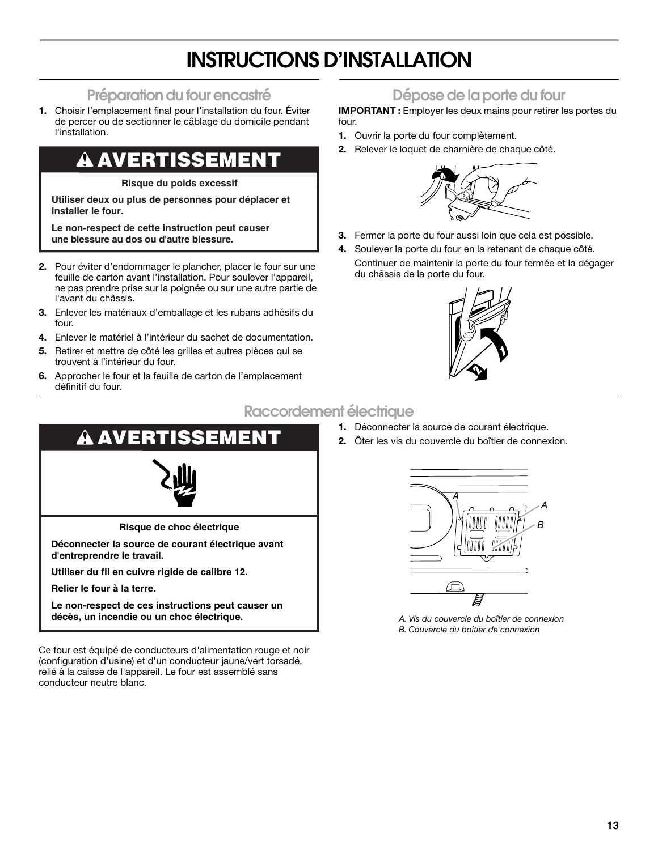# **INSTRUCTIONS D'INSTALLATION**

# **Préparation du four encastré**

**1.** Choisir l'emplacement final pour l'installation du four. Éviter de percer ou de sectionner le câblage du domicile pendant l'installation.

# **AVERTISSEMENT**

**Risque du poids excessif**

**Utiliser deux ou plus de personnes pour déplacer et installer le four.**

**Le non-respect de cette instruction peut causer une blessure au dos ou d'autre blessure.**

- **2.** Pour éviter d'endommager le plancher, placer le four sur une feuille de carton avant l'installation. Pour soulever l'appareil, ne pas prendre prise sur la poignée ou sur une autre partie de l'avant du châssis.
- **3.** Enlever les matériaux d'emballage et les rubans adhésifs du four.
- **4.** Enlever le matériel à l'intérieur du sachet de documentation.
- **5.** Retirer et mettre de côté les grilles et autres pièces qui se trouvent à l'intérieur du four.
- **6.** Approcher le four et la feuille de carton de l'emplacement définitif du four.

# **Dépose de la porte du four**

**IMPORTANT :** Employer les deux mains pour retirer les portes du four.

- **1.** Ouvrir la porte du four complètement.
- **2.** Relever le loquet de charnière de chaque côté.



- **3.** Fermer la porte du four aussi loin que cela est possible.
- **4.** Soulever la porte du four en la retenant de chaque côté. Continuer de maintenir la porte du four fermée et la dégager du châssis de la porte du four.



# **Raccordement électrique**

- **1.** Déconnecter la source de courant électrique.
- **2.** Ôter les vis du couvercle du boîtier de connexion.



**Le non-respect de ces instructions peut causer un décès, un incendie ou un choc électrique.** *A. Vis du couvercle du boîtier de connexion*

Ce four est équipé de conducteurs d'alimentation rouge et noir (configuration d'usine) et d'un conducteur jaune/vert torsadé, relié à la caisse de l'appareil. Le four est assemblé sans conducteur neutre blanc.



*B. Couvercle du boîtier de connexion*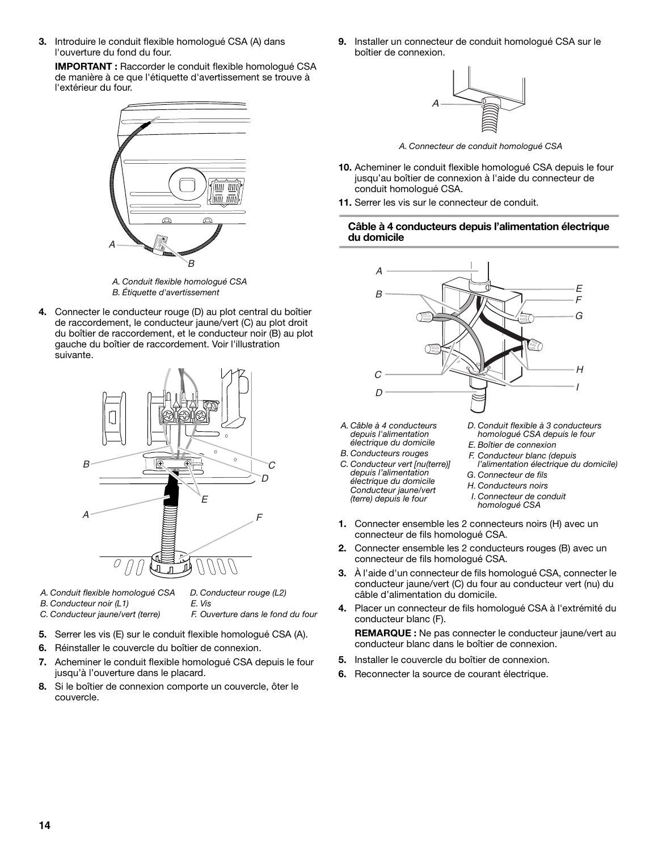**3.** Introduire le conduit flexible homologué CSA (A) dans l'ouverture du fond du four.

**IMPORTANT :** Raccorder le conduit flexible homologué CSA de manière à ce que l'étiquette d'avertissement se trouve à l'extérieur du four.



*A. Conduit flexible homologué CSA B. Étiquette d'avertissement*

**4.** Connecter le conducteur rouge (D) au plot central du boîtier de raccordement, le conducteur jaune/vert (C) au plot droit du boîtier de raccordement, et le conducteur noir (B) au plot gauche du boîtier de raccordement. Voir l'illustration suivante.



*A. Conduit flexible homologué CSA*

*D. Conducteur rouge (L2)*

*B. Conducteur noir (L1) C. Conducteur jaune/vert (terre)* *E. Vis F. Ouverture dans le fond du four*

- **5.** Serrer les vis (E) sur le conduit flexible homologué CSA (A).
- **6.** Réinstaller le couvercle du boîtier de connexion.
- **7.** Acheminer le conduit flexible homologué CSA depuis le four jusqu'à l'ouverture dans le placard.
- **8.** Si le boîtier de connexion comporte un couvercle, ôter le couvercle.

**9.** Installer un connecteur de conduit homologué CSA sur le boîtier de connexion.



*A. Connecteur de conduit homologué CSA*

- **10.** Acheminer le conduit flexible homologué CSA depuis le four jusqu'au boîtier de connexion à l'aide du connecteur de conduit homologué CSA.
- **11.** Serrer les vis sur le connecteur de conduit.

### **Câble à 4 conducteurs depuis l'alimentation électrique du domicile**



- *A. Câble à 4 conducteurs depuis l'alimentation électrique du domicile*
- *B. Conducteurs rouges C. Conducteur vert [nu(terre)] depuis l'alimentation électrique du domicile Conducteur jaune/vert (terre) depuis le four*
- *D. Conduit flexible à 3 conducteurs homologué CSA depuis le four*
- *E. Boîtier de connexion*
- *F. Conducteur blanc (depuis l'alimentation électrique du domicile)*
- *G. Connecteur de fils*
- *H. Conducteurs noirs*
- *I. Connecteur de conduit homologué CSA*
- **1.** Connecter ensemble les 2 connecteurs noirs (H) avec un connecteur de fils homologué CSA.
- **2.** Connecter ensemble les 2 conducteurs rouges (B) avec un connecteur de fils homologué CSA.
- **3.** À l'aide d'un connecteur de fils homologué CSA, connecter le conducteur jaune/vert (C) du four au conducteur vert (nu) du câble d'alimentation du domicile.
- **4.** Placer un connecteur de fils homologué CSA à l'extrémité du conducteur blanc (F).

**REMARQUE :** Ne pas connecter le conducteur jaune/vert au conducteur blanc dans le boîtier de connexion.

- **5.** Installer le couvercle du boîtier de connexion.
- **6.** Reconnecter la source de courant électrique.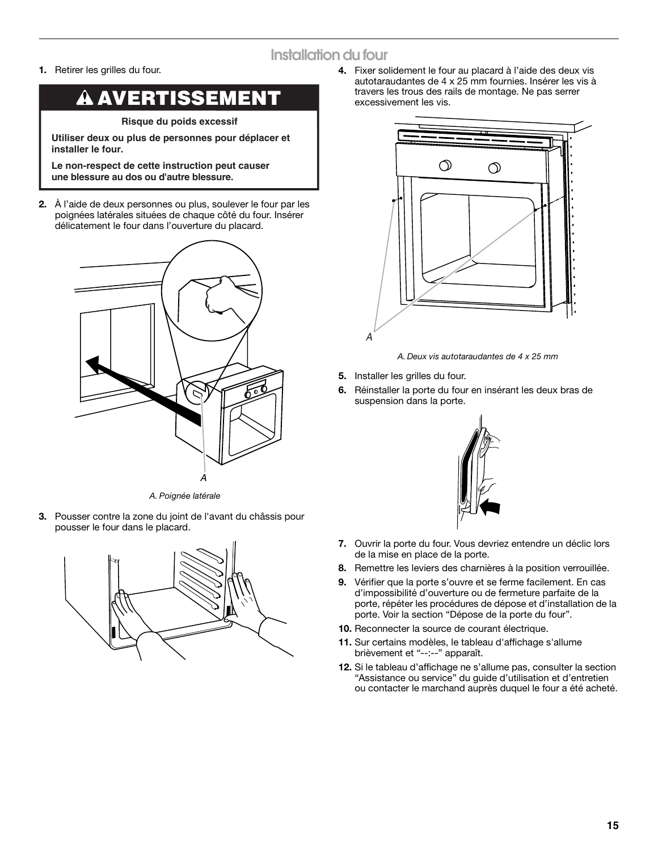# **Installation du four**

**1.** Retirer les grilles du four.

### **AVERTISSEMENT** A

**Risque du poids excessif**

**Utiliser deux ou plus de personnes pour déplacer et installer le four.**

**Le non-respect de cette instruction peut causer une blessure au dos ou d'autre blessure.**

**2.** À l'aide de deux personnes ou plus, soulever le four par les poignées latérales situées de chaque côté du four. Insérer délicatement le four dans l'ouverture du placard.



*A. Poignée latérale*

**3.** Pousser contre la zone du joint de l'avant du châssis pour pousser le four dans le placard.



**4.** Fixer solidement le four au placard à l'aide des deux vis autotaraudantes de 4 x 25 mm fournies. Insérer les vis à travers les trous des rails de montage. Ne pas serrer excessivement les vis.



*A. Deux vis autotaraudantes de 4 x 25 mm*

- **5.** Installer les grilles du four.
- **6.** Réinstaller la porte du four en insérant les deux bras de suspension dans la porte.



- **7.** Ouvrir la porte du four. Vous devriez entendre un déclic lors de la mise en place de la porte.
- **8.** Remettre les leviers des charnières à la position verrouillée.
- **9.** Vérifier que la porte s'ouvre et se ferme facilement. En cas d'impossibilité d'ouverture ou de fermeture parfaite de la porte, répéter les procédures de dépose et d'installation de la porte. Voir la section "Dépose de la porte du four".
- **10.** Reconnecter la source de courant électrique.
- **11.** Sur certains modèles, le tableau d'affichage s'allume brièvement et "--:--" apparaît.
- **12.** Si le tableau d'affichage ne s'allume pas, consulter la section "Assistance ou service" du guide d'utilisation et d'entretien ou contacter le marchand auprès duquel le four a été acheté.